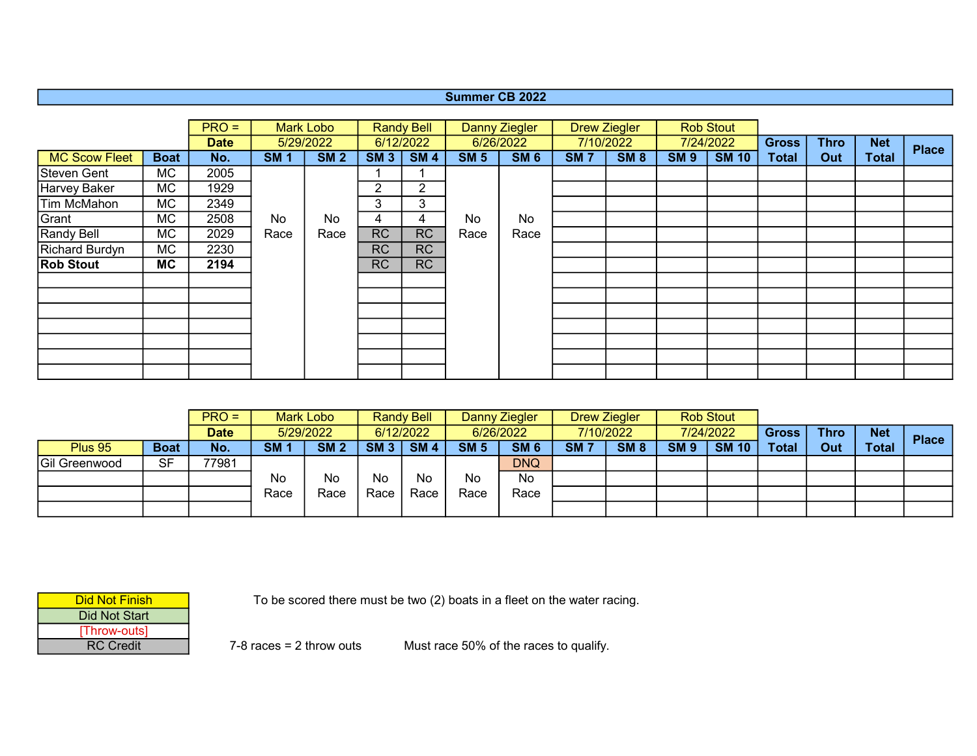## Summer CB 2022

|                      |             | $PRO =$     |            | Mark Lobo       |                | <b>Randy Bell</b> |             | <b>Danny Ziegler</b> |            | <b>Drew Ziegler</b> |             | <b>Rob Stout</b> |              |             |              |              |
|----------------------|-------------|-------------|------------|-----------------|----------------|-------------------|-------------|----------------------|------------|---------------------|-------------|------------------|--------------|-------------|--------------|--------------|
|                      |             | <b>Date</b> |            | 5/29/2022       |                | 6/12/2022         |             | 6/26/2022            |            | 7/10/2022           |             | 7/24/2022        | <b>Gross</b> | <b>Thro</b> | <b>Net</b>   | <b>Place</b> |
| <b>MC Scow Fleet</b> | <b>Boat</b> | No.         | <b>SM1</b> | SM <sub>2</sub> | SM3            | SM4               | <b>SM 5</b> | SM <sub>6</sub>      | <b>SM7</b> | <b>SM 8</b>         | <b>SM 9</b> | <b>SM 10</b>     | <b>Total</b> | Out         | <b>Total</b> |              |
| Steven Gent          | МC          | 2005        |            |                 |                |                   |             |                      |            |                     |             |                  |              |             |              |              |
| Harvey Baker         | МC          | 1929        |            |                 | $\overline{2}$ | $\overline{2}$    |             |                      |            |                     |             |                  |              |             |              |              |
| Tim McMahon          | МC          | 2349        |            |                 | 3              | 3                 |             |                      |            |                     |             |                  |              |             |              |              |
| Grant                | МC          | 2508        | No         | No              | 4              | 4                 | No          | No                   |            |                     |             |                  |              |             |              |              |
| Randy Bell           | МC          | 2029        | Race       | Race            | <b>RC</b>      | <b>RC</b>         | Race        | Race                 |            |                     |             |                  |              |             |              |              |
| Richard Burdyn       | МC          | 2230        |            |                 | <b>RC</b>      | <b>RC</b>         |             |                      |            |                     |             |                  |              |             |              |              |
| <b>Rob Stout</b>     | MC          | 2194        |            |                 | <b>RC</b>      | <b>RC</b>         |             |                      |            |                     |             |                  |              |             |              |              |
|                      |             |             |            |                 |                |                   |             |                      |            |                     |             |                  |              |             |              |              |
|                      |             |             |            |                 |                |                   |             |                      |            |                     |             |                  |              |             |              |              |
|                      |             |             |            |                 |                |                   |             |                      |            |                     |             |                  |              |             |              |              |
|                      |             |             |            |                 |                |                   |             |                      |            |                     |             |                  |              |             |              |              |
|                      |             |             |            |                 |                |                   |             |                      |            |                     |             |                  |              |             |              |              |
|                      |             |             |            |                 |                |                   |             |                      |            |                     |             |                  |              |             |              |              |
|                      |             |             |            |                 |                |                   |             |                      |            |                     |             |                  |              |             |              |              |

|               |             | $PRO =$     |           | Mark Lobo   |                 | <b>Randy Bell</b> |             | Danny Ziegler | <b>Drew Ziegler</b> |             |                 | <b>Rob Stout</b> |              |             |              |              |
|---------------|-------------|-------------|-----------|-------------|-----------------|-------------------|-------------|---------------|---------------------|-------------|-----------------|------------------|--------------|-------------|--------------|--------------|
|               |             | <b>Date</b> | 5/29/2022 |             |                 | 6/12/2022         |             | 6/26/2022     | 7/10/2022           |             |                 | 7/24/2022        | <b>Gross</b> | <b>Thro</b> | <b>Net</b>   | <b>Place</b> |
| Plus 95       | <b>Boat</b> | No.         | <b>SM</b> | <b>SM 2</b> | SM <sub>3</sub> | <b>SM4</b>        | <b>SM 5</b> | <b>SM 6</b>   | SM <sub>7</sub>     | <b>SM 8</b> | SM <sub>9</sub> | <b>SM 10</b>     | Total        | Out         | <b>Total</b> |              |
| Gil Greenwood | <b>SF</b>   | 77981       |           |             |                 |                   |             | <b>DNQ</b>    |                     |             |                 |                  |              |             |              |              |
|               |             |             | <b>No</b> | No          | No              | No                | No          | No.           |                     |             |                 |                  |              |             |              |              |
|               |             |             | Race      | Race        | Race            | Race              | Race        | Race          |                     |             |                 |                  |              |             |              |              |
|               |             |             |           |             |                 |                   |             |               |                     |             |                 |                  |              |             |              |              |

| Did Not Finish   |
|------------------|
| Did Not Start    |
| [Throw-outs]     |
| <b>RC</b> Credit |

To be scored there must be two (2) boats in a fleet on the water racing.

7-8 races = 2 throw outs

Must race 50% of the races to qualify.